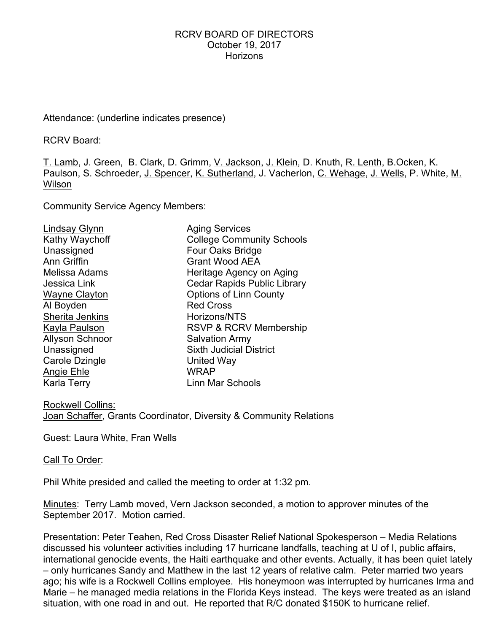#### RCRV BOARD OF DIRECTORS October 19, 2017 **Horizons**

## Attendance: (underline indicates presence)

RCRV Board:

T. Lamb, J. Green, B. Clark, D. Grimm, V. Jackson, J. Klein, D. Knuth, R. Lenth, B.Ocken, K. Paulson, S. Schroeder, J. Spencer, K. Sutherland, J. Vacherlon, C. Wehage, J. Wells, P. White, M. Wilson

Community Service Agency Members:

| Lindsay Glynn          | <b>Aging Services</b>              |
|------------------------|------------------------------------|
| Kathy Waychoff         | <b>College Community Schools</b>   |
| Unassigned             | Four Oaks Bridge                   |
| Ann Griffin            | <b>Grant Wood AEA</b>              |
| Melissa Adams          | Heritage Agency on Aging           |
| Jessica Link           | <b>Cedar Rapids Public Library</b> |
| Wayne Clayton          | <b>Options of Linn County</b>      |
| Al Boyden              | <b>Red Cross</b>                   |
| Sherita Jenkins        | Horizons/NTS                       |
| Kayla Paulson          | RSVP & RCRV Membership             |
| <b>Allyson Schnoor</b> | <b>Salvation Army</b>              |
| Unassigned             | <b>Sixth Judicial District</b>     |
| Carole Dzingle         | United Way                         |
| Angie Ehle             | <b>WRAP</b>                        |
| <b>Karla Terry</b>     | Linn Mar Schools                   |

Rockwell Collins: Joan Schaffer, Grants Coordinator, Diversity & Community Relations

Guest: Laura White, Fran Wells

Call To Order:

Phil White presided and called the meeting to order at 1:32 pm.

Minutes: Terry Lamb moved, Vern Jackson seconded, a motion to approver minutes of the September 2017. Motion carried.

Presentation: Peter Teahen, Red Cross Disaster Relief National Spokesperson – Media Relations discussed his volunteer activities including 17 hurricane landfalls, teaching at U of I, public affairs, international genocide events, the Haiti earthquake and other events. Actually, it has been quiet lately – only hurricanes Sandy and Matthew in the last 12 years of relative calm. Peter married two years ago; his wife is a Rockwell Collins employee. His honeymoon was interrupted by hurricanes Irma and Marie – he managed media relations in the Florida Keys instead. The keys were treated as an island situation, with one road in and out. He reported that R/C donated \$150K to hurricane relief.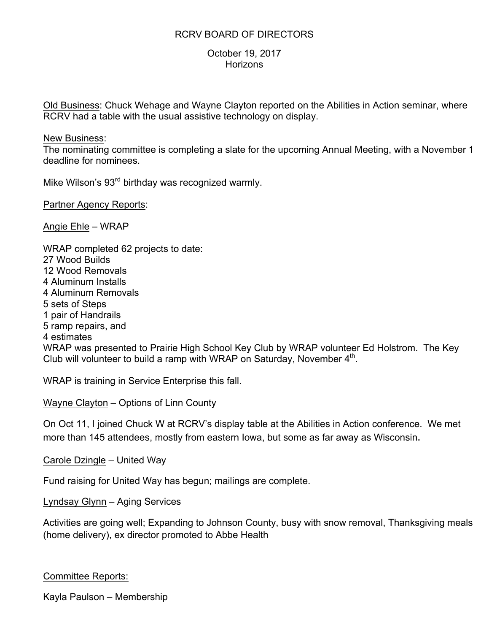## RCRV BOARD OF DIRECTORS

## October 19, 2017 **Horizons**

Old Business: Chuck Wehage and Wayne Clayton reported on the Abilities in Action seminar, where RCRV had a table with the usual assistive technology on display.

#### New Business:

The nominating committee is completing a slate for the upcoming Annual Meeting, with a November 1 deadline for nominees.

Mike Wilson's 93<sup>rd</sup> birthday was recognized warmly.

Partner Agency Reports:

Angie Ehle – WRAP

WRAP completed 62 projects to date: 27 Wood Builds 12 Wood Removals 4 Aluminum Installs 4 Aluminum Removals 5 sets of Steps 1 pair of Handrails 5 ramp repairs, and 4 estimates WRAP was presented to Prairie High School Key Club by WRAP volunteer Ed Holstrom. The Key Club will volunteer to build a ramp with WRAP on Saturday, November  $4<sup>th</sup>$ .

WRAP is training in Service Enterprise this fall.

Wayne Clayton – Options of Linn County

On Oct 11, I joined Chuck W at RCRV's display table at the Abilities in Action conference. We met more than 145 attendees, mostly from eastern Iowa, but some as far away as Wisconsin.

Carole Dzingle – United Way

Fund raising for United Way has begun; mailings are complete.

Lyndsay Glynn – Aging Services

Activities are going well; Expanding to Johnson County, busy with snow removal, Thanksgiving meals (home delivery), ex director promoted to Abbe Health

## Committee Reports:

Kayla Paulson – Membership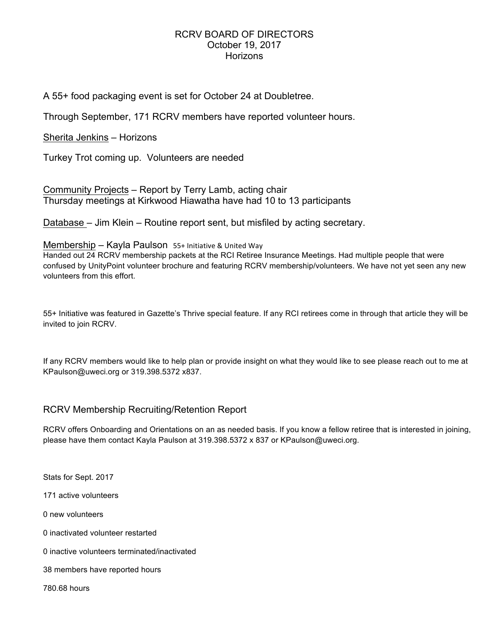#### RCRV BOARD OF DIRECTORS October 19, 2017 Horizons

A 55+ food packaging event is set for October 24 at Doubletree.

Through September, 171 RCRV members have reported volunteer hours.

Sherita Jenkins – Horizons

Turkey Trot coming up. Volunteers are needed

Community Projects – Report by Terry Lamb, acting chair Thursday meetings at Kirkwood Hiawatha have had 10 to 13 participants

Database – Jim Klein – Routine report sent, but misfiled by acting secretary.

#### Membership – Kayla Paulson  $55+$  Initiative & United Way

Handed out 24 RCRV membership packets at the RCI Retiree Insurance Meetings. Had multiple people that were confused by UnityPoint volunteer brochure and featuring RCRV membership/volunteers. We have not yet seen any new volunteers from this effort.

55+ Initiative was featured in Gazette's Thrive special feature. If any RCI retirees come in through that article they will be invited to join RCRV.

If any RCRV members would like to help plan or provide insight on what they would like to see please reach out to me at KPaulson@uweci.org or 319.398.5372 x837.

## RCRV Membership Recruiting/Retention Report

RCRV offers Onboarding and Orientations on an as needed basis. If you know a fellow retiree that is interested in joining, please have them contact Kayla Paulson at 319.398.5372 x 837 or KPaulson@uweci.org.

Stats for Sept. 2017

171 active volunteers

0 new volunteers

0 inactivated volunteer restarted

0 inactive volunteers terminated/inactivated

38 members have reported hours

780.68 hours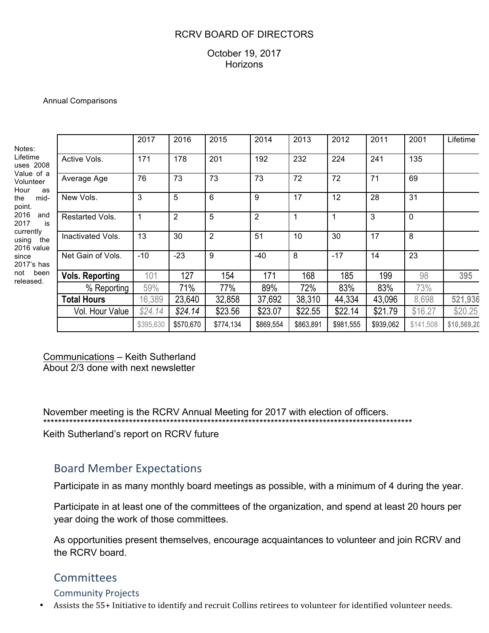## RCRV BOARD OF DIRECTORS

## October 19, 2017 **Horizons**

#### Annual Comparisons

| Notes:<br>Lifetime<br>uses 2008<br>Value of a<br>Volunteer<br>Hour<br>as<br>mid-<br>the<br>point.<br>2016<br>and<br>2017<br>is<br>currently<br>using<br>the<br>2016 value<br>since<br>2017's has<br>been<br>not<br>released. |                        | 2017      | 2016           | 2015      | 2014           | 2013      | 2012      | 2011      | 2001      | Lifetime    |
|------------------------------------------------------------------------------------------------------------------------------------------------------------------------------------------------------------------------------|------------------------|-----------|----------------|-----------|----------------|-----------|-----------|-----------|-----------|-------------|
|                                                                                                                                                                                                                              | Active Vols.           | 171       | 178            | 201       | 192            | 232       | 224       | 241       | 135       |             |
|                                                                                                                                                                                                                              | Average Age            | 76        | 73             | 73        | 73             | 72        | 72        | 71        | 69        |             |
|                                                                                                                                                                                                                              | New Vols.              | 3         | 5              | 6         | 9              | 17        | 12        | 28        | 31        |             |
|                                                                                                                                                                                                                              | Restarted Vols.        |           | $\overline{2}$ | 5         | $\overline{2}$ |           | 1         | 3         | 0         |             |
|                                                                                                                                                                                                                              | Inactivated Vols.      | 13        | 30             | 2         | 51             | 10        | 30        | 17        | 8         |             |
|                                                                                                                                                                                                                              | Net Gain of Vols.      | $-10$     | $-23$          | 9         | $-40$          | 8         | $-17$     | 14        | 23        |             |
|                                                                                                                                                                                                                              | <b>Vols. Reporting</b> | 101       | 127            | 154       | 171            | 168       | 185       | 199       | 98        | 395         |
|                                                                                                                                                                                                                              | % Reporting            | 59%       | 71%            | 77%       | 89%            | 72%       | 83%       | 83%       | 73%       |             |
|                                                                                                                                                                                                                              | <b>Total Hours</b>     | 16,389    | 23,640         | 32,858    | 37,692         | 38,310    | 44,334    | 43,096    | 8,698     | 521,936     |
|                                                                                                                                                                                                                              | Vol. Hour Value        | \$24.14   | \$24.14        | \$23.56   | \$23.07        | \$22.55   | \$22.14   | \$21.79   | \$16.27   | \$20.25     |
|                                                                                                                                                                                                                              |                        | \$395,630 | \$570,670      | \$774,134 | \$869,554      | \$863,891 | \$981,555 | \$939,062 | \$141,508 | \$10,569,20 |

Communications – Keith Sutherland About 2/3 done with next newsletter

November meeting is the RCRV Annual Meeting for 2017 with election of officers. \*\*\*\*\*\*\*\*\*\*\*\*\*\*\*\*\*\*\*\*\*\*\*\*\*\*\*\*\*\*\*\*\*\*\*\*\*\*\*\*\*\*\*\*\*\*\*\*\*\*\*\*\*\*\*\*\*\*\*\*\*\*\*\*\*\*\*\*\*\*\*\*\*\*\*\*\*\*\*\*\*\*\*\*\*\*\*\*\*\*\*\*\*\*\*\*\*\*\*

Keith Sutherland's report on RCRV future

# Board Member Expectations

Participate in as many monthly board meetings as possible, with a minimum of 4 during the year.

Participate in at least one of the committees of the organization, and spend at least 20 hours per year doing the work of those committees.

As opportunities present themselves, encourage acquaintances to volunteer and join RCRV and the RCRV board.

# **Committees**

## Community Projects

Assists the 55+ Initiative to identify and recruit Collins retirees to volunteer for identified volunteer needs.